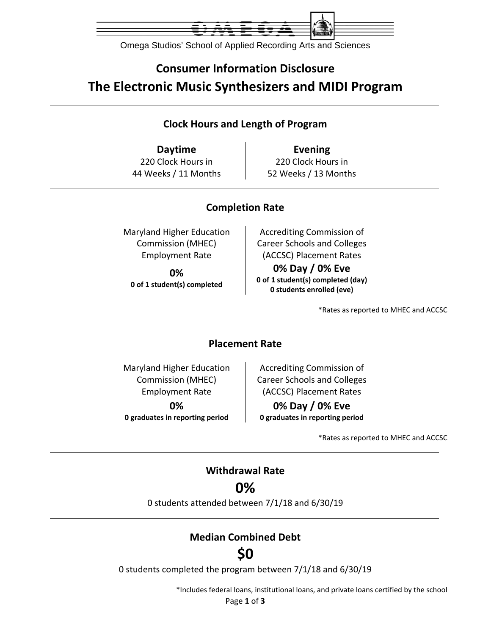

Omega Studios' School of Applied Recording Arts and Sciences

## **Consumer Information Disclosure The Electronic Music Synthesizers and MIDI Program**

### **Clock Hours and Length of Program**

**Daytime Evening** 220 Clock Hours in 44 Weeks / 11 Months

220 Clock Hours in 52 Weeks / 13 Months

## **Completion Rate**

Maryland Higher Education Commission (MHEC) Employment Rate

**0% 0 of 1 student(s) completed**

Accrediting Commission of Career Schools and Colleges (ACCSC) Placement Rates **0% Day / 0% Eve 0 of 1 student(s) completed (day) 0 students enrolled (eve)**

\*Rates as reported to MHEC and ACCSC

### **Placement Rate**

Maryland Higher Education Commission (MHEC) Employment Rate **0% 0 graduates in reporting period**

Accrediting Commission of Career Schools and Colleges (ACCSC) Placement Rates

**0% Day / 0% Eve 0 graduates in reporting period**

\*Rates as reported to MHEC and ACCSC

### **Withdrawal Rate**

**0%**

0 students attended between 7/1/18 and 6/30/19

## **Median Combined Debt**

# **\$0**

0 students completed the program between 7/1/18 and 6/30/19

\*Includes federal loans, institutional loans, and private loans certified by the school

Page **1** of **3**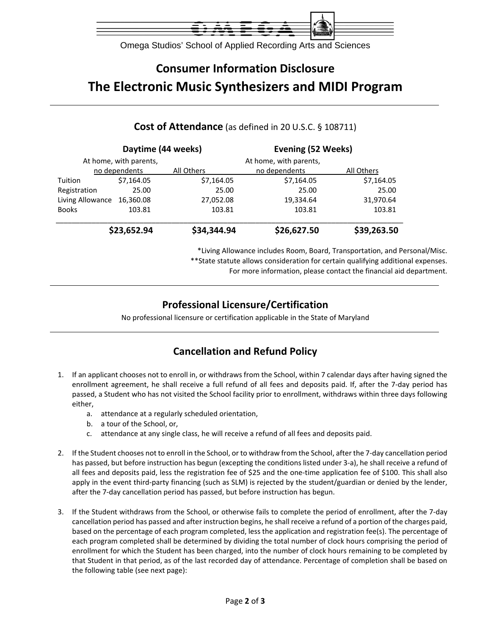

Omega Studios' School of Applied Recording Arts and Sciences

# **Consumer Information Disclosure The Electronic Music Synthesizers and MIDI Program**

|                  | Daytime (44 weeks)     |             | Evening (52 Weeks)     |             |
|------------------|------------------------|-------------|------------------------|-------------|
|                  | At home, with parents, |             | At home, with parents, |             |
|                  | no dependents          | All Others  | no dependents          | All Others  |
| Tuition          | \$7,164.05             | \$7,164.05  | \$7,164.05             | \$7,164.05  |
| Registration     | 25.00                  | 25.00       | 25.00                  | 25.00       |
| Living Allowance | 16,360.08              | 27,052.08   | 19,334.64              | 31,970.64   |
| <b>Books</b>     | 103.81                 | 103.81      | 103.81                 | 103.81      |
|                  | \$23,652.94            | \$34,344.94 | \$26,627.50            | \$39,263.50 |

#### **Cost of Attendance** (as defined in 20 U.S.C. § 108711)

\*Living Allowance includes Room, Board, Transportation, and Personal/Misc. \*\*State statute allows consideration for certain qualifying additional expenses. For more information, please contact the financial aid department.

## **Professional Licensure/Certification**

No professional licensure or certification applicable in the State of Maryland

## **Cancellation and Refund Policy**

- 1. If an applicant chooses not to enroll in, or withdraws from the School, within 7 calendar days after having signed the enrollment agreement, he shall receive a full refund of all fees and deposits paid. If, after the 7‐day period has passed, a Student who has not visited the School facility prior to enrollment, withdraws within three days following either,
	- a. attendance at a regularly scheduled orientation,
	- b. a tour of the School, or,
	- c. attendance at any single class, he will receive a refund of all fees and deposits paid.
- 2. If the Student chooses not to enroll in the School, or to withdraw from the School, after the 7‐day cancellation period has passed, but before instruction has begun (excepting the conditions listed under 3-a), he shall receive a refund of all fees and deposits paid, less the registration fee of \$25 and the one‐time application fee of \$100. This shall also apply in the event third-party financing (such as SLM) is rejected by the student/guardian or denied by the lender, after the 7‐day cancellation period has passed, but before instruction has begun.
- 3. If the Student withdraws from the School, or otherwise fails to complete the period of enrollment, after the 7‐day cancellation period has passed and after instruction begins, he shall receive a refund of a portion of the charges paid, based on the percentage of each program completed, less the application and registration fee(s). The percentage of each program completed shall be determined by dividing the total number of clock hours comprising the period of enrollment for which the Student has been charged, into the number of clock hours remaining to be completed by that Student in that period, as of the last recorded day of attendance. Percentage of completion shall be based on the following table (see next page):